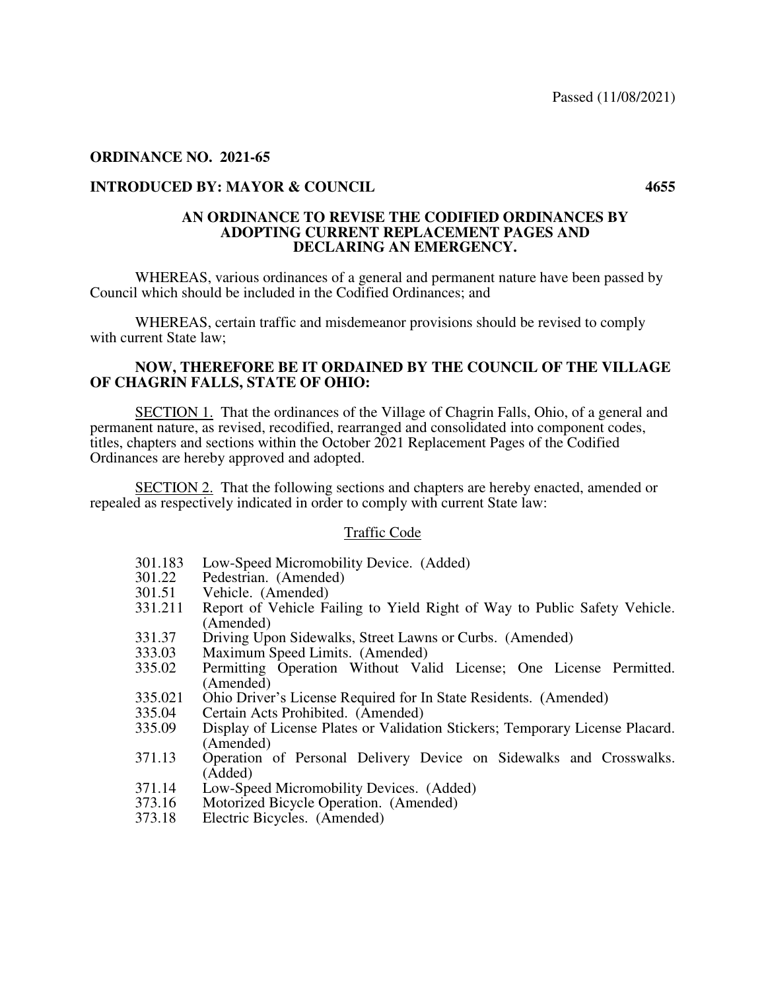# **ORDINANCE NO. 2021-65**

# **INTRODUCED BY: MAYOR & COUNCIL 4655**

### **AN ORDINANCE TO REVISE THE CODIFIED ORDINANCES BY ADOPTING CURRENT REPLACEMENT PAGES AND DECLARING AN EMERGENCY.**

 WHEREAS, various ordinances of a general and permanent nature have been passed by Council which should be included in the Codified Ordinances; and

 WHEREAS, certain traffic and misdemeanor provisions should be revised to comply with current State law;

## **NOW, THEREFORE BE IT ORDAINED BY THE COUNCIL OF THE VILLAGE OF CHAGRIN FALLS, STATE OF OHIO:**

 SECTION 1. That the ordinances of the Village of Chagrin Falls, Ohio, of a general and permanent nature, as revised, recodified, rearranged and consolidated into component codes, titles, chapters and sections within the October 2021 Replacement Pages of the Codified Ordinances are hereby approved and adopted.

 SECTION 2. That the following sections and chapters are hereby enacted, amended or repealed as respectively indicated in order to comply with current State law:

# Traffic Code

- 301.183 Low-Speed Micromobility Device. (Added)<br>301.22 Pedestrian. (Amended)
- 301.22 Pedestrian. (Amended)<br>301.51 Vehicle. (Amended)
- 301.51 Vehicle. (Amended)<br>331.211 Report of Vehicle Fa
- Report of Vehicle Failing to Yield Right of Way to Public Safety Vehicle. (Amended)
- 331.37 Driving Upon Sidewalks, Street Lawns or Curbs. (Amended)<br>333.03 Maximum Speed Limits. (Amended)
- 333.03 Maximum Speed Limits. (Amended)<br>335.02 Permitting Operation Without Val
- Permitting Operation Without Valid License; One License Permitted. (Amended)
- 335.021 Ohio Driver's License Required for In State Residents. (Amended)<br>335.04 Certain Acts Prohibited. (Amended)
- 335.04 Certain Acts Prohibited. (Amended)<br>335.09 Display of License Plates or Validati
- Display of License Plates or Validation Stickers; Temporary License Placard. (Amended)
- 371.13 Operation of Personal Delivery Device on Sidewalks and Crosswalks. (Added)
- 371.14 Low-Speed Micromobility Devices. (Added)
- 373.16 Motorized Bicycle Operation. (Amended)
- Electric Bicycles. (Amended)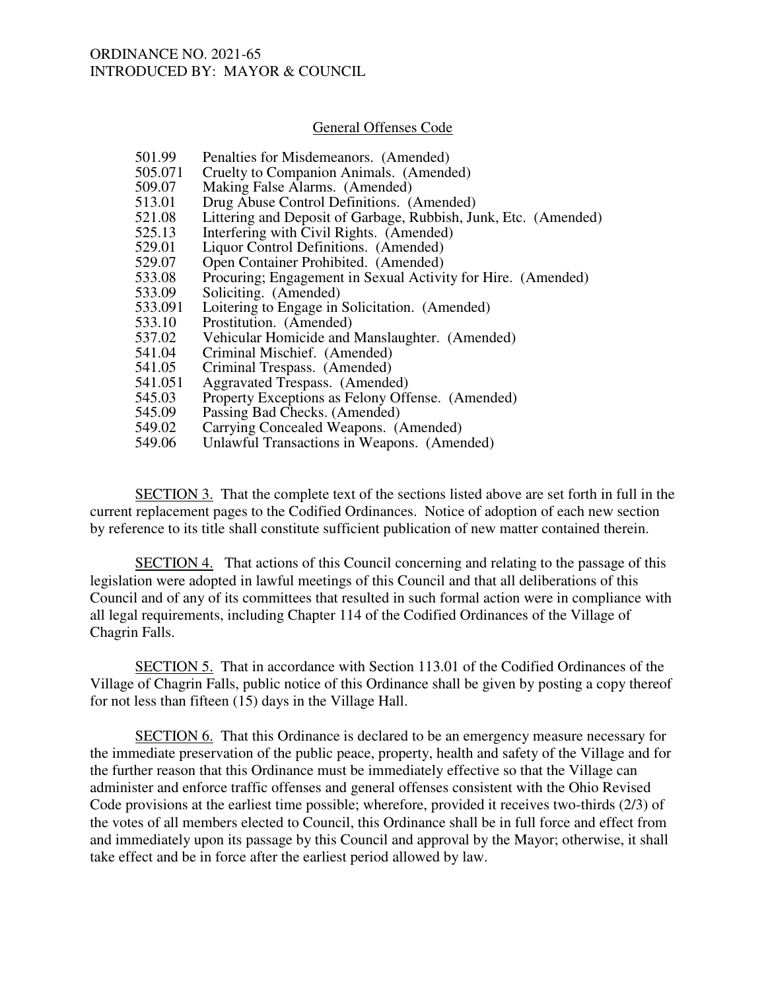#### General Offenses Code

- 501.99 Penalties for Misdemeanors. (Amended)<br>505.071 Cruelty to Companion Animals. (Amende
- 505.071 Cruelty to Companion Animals. (Amended)<br>509.07 Making False Alarms. (Amended)
- 509.07 Making False Alarms. (Amended)<br>513.01 Drug Abuse Control Definitions. (*A*
- 513.01 Drug Abuse Control Definitions. (Amended)<br>521.08 Littering and Deposit of Garbage, Rubbish, Ju
- 521.08 Littering and Deposit of Garbage, Rubbish, Junk, Etc. (Amended)<br>525.13 Interfering with Civil Rights. (Amended)
- 525.13 Interfering with Civil Rights. (Amended)<br>529.01 Liquor Control Definitions. (Amended)
- 529.01 Liquor Control Definitions. (Amended)<br>529.07 Open Container Prohibited. (Amended)
- 529.07 Open Container Prohibited. (Amended)<br>533.08 Procuring: Engagement in Sexual Activi
- 533.08 Procuring; Engagement in Sexual Activity for Hire. (Amended)<br>533.09 Soliciting. (Amended)
- Soliciting. (Amended)
- 533.091 Loitering to Engage in Solicitation. (Amended)<br>533.10 Prostitution. (Amended)
- 533.10 Prostitution. (Amended)<br>537.02 Vehicular Homicide and
- 537.02 Vehicular Homicide and Manslaughter. (Amended)<br>541.04 Criminal Mischief. (Amended)
- 541.04 Criminal Mischief. (Amended)<br>541.05 Criminal Trespass. (Amended)
- 541.05 Criminal Trespass. (Amended)<br>541.051 Ageravated Trespass. (Amende
- Aggravated Trespass. (Amended)
- 545.03 Property Exceptions as Felony Offense. (Amended)<br>545.09 Passing Bad Checks. (Amended)
- 545.09 Passing Bad Checks. (Amended)<br>549.02 Carrying Concealed Weapons. (1
- 549.02 Carrying Concealed Weapons. (Amended)<br>549.06 Unlawful Transactions in Weapons. (Amen
- Unlawful Transactions in Weapons. (Amended)

 SECTION 3. That the complete text of the sections listed above are set forth in full in the current replacement pages to the Codified Ordinances. Notice of adoption of each new section by reference to its title shall constitute sufficient publication of new matter contained therein.

 SECTION 4. That actions of this Council concerning and relating to the passage of this legislation were adopted in lawful meetings of this Council and that all deliberations of this Council and of any of its committees that resulted in such formal action were in compliance with all legal requirements, including Chapter 114 of the Codified Ordinances of the Village of Chagrin Falls.

SECTION 5. That in accordance with Section 113.01 of the Codified Ordinances of the Village of Chagrin Falls, public notice of this Ordinance shall be given by posting a copy thereof for not less than fifteen (15) days in the Village Hall.

 SECTION 6. That this Ordinance is declared to be an emergency measure necessary for the immediate preservation of the public peace, property, health and safety of the Village and for the further reason that this Ordinance must be immediately effective so that the Village can administer and enforce traffic offenses and general offenses consistent with the Ohio Revised Code provisions at the earliest time possible; wherefore, provided it receives two-thirds (2/3) of the votes of all members elected to Council, this Ordinance shall be in full force and effect from and immediately upon its passage by this Council and approval by the Mayor; otherwise, it shall take effect and be in force after the earliest period allowed by law.